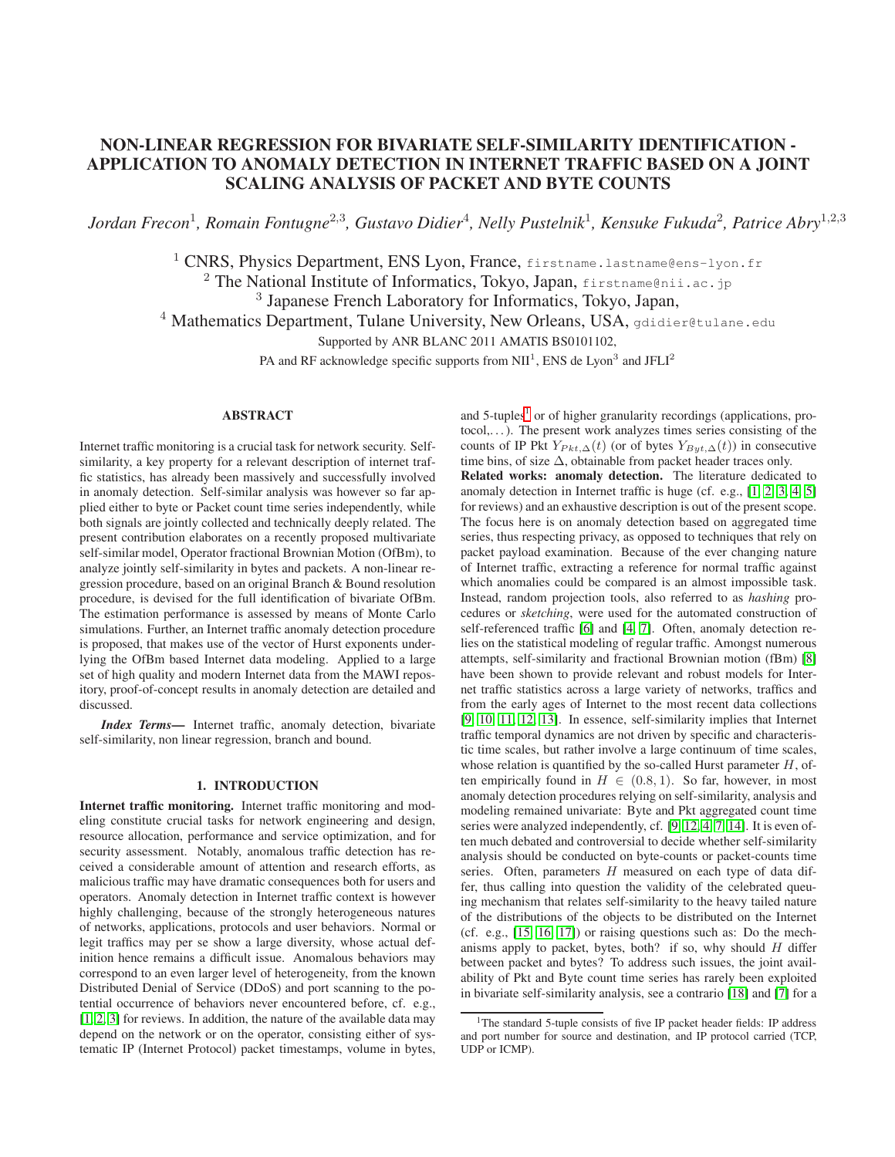# NON-LINEAR REGRESSION FOR BIVARIATE SELF-SIMILARITY IDENTIFICATION - APPLICATION TO ANOMALY DETECTION IN INTERNET TRAFFIC BASED ON A JOINT SCALING ANALYSIS OF PACKET AND BYTE COUNTS

*Jordan Frecon*<sup>1</sup> *, Romain Fontugne*<sup>2</sup>,<sup>3</sup> *, Gustavo Didier*<sup>4</sup> *, Nelly Pustelnik*<sup>1</sup> *, Kensuke Fukuda*<sup>2</sup> *, Patrice Abry*<sup>1</sup>,2,<sup>3</sup>

<sup>1</sup> CNRS, Physics Department, ENS Lyon, France, firstname.lastname@ens-lyon.fr

<sup>2</sup> The National Institute of Informatics, Tokyo, Japan, firstname@nii.ac.jp

3 Japanese French Laboratory for Informatics, Tokyo, Japan,

 $4$  Mathematics Department, Tulane University, New Orleans, USA, gdidier@tulane.edu

Supported by ANR BLANC 2011 AMATIS BS0101102,

PA and RF acknowledge specific supports from NII<sup>1</sup>, ENS de Lyon<sup>3</sup> and JFLI<sup>2</sup>

# ABSTRACT

Internet traffic monitoring is a crucial task for network security. Selfsimilarity, a key property for a relevant description of internet traffic statistics, has already been massively and successfully involved in anomaly detection. Self-similar analysis was however so far applied either to byte or Packet count time series independently, while both signals are jointly collected and technically deeply related. The present contribution elaborates on a recently proposed multivariate self-similar model, Operator fractional Brownian Motion (OfBm), to analyze jointly self-similarity in bytes and packets. A non-linear regression procedure, based on an original Branch & Bound resolution procedure, is devised for the full identification of bivariate OfBm. The estimation performance is assessed by means of Monte Carlo simulations. Further, an Internet traffic anomaly detection procedure is proposed, that makes use of the vector of Hurst exponents underlying the OfBm based Internet data modeling. Applied to a large set of high quality and modern Internet data from the MAWI repository, proof-of-concept results in anomaly detection are detailed and discussed.

*Index Terms*— Internet traffic, anomaly detection, bivariate self-similarity, non linear regression, branch and bound.

# 1. INTRODUCTION

<span id="page-0-1"></span>Internet traffic monitoring. Internet traffic monitoring and modeling constitute crucial tasks for network engineering and design, resource allocation, performance and service optimization, and for security assessment. Notably, anomalous traffic detection has received a considerable amount of attention and research efforts, as malicious traffic may have dramatic consequences both for users and operators. Anomaly detection in Internet traffic context is however highly challenging, because of the strongly heterogeneous natures of networks, applications, protocols and user behaviors. Normal or legit traffics may per se show a large diversity, whose actual definition hence remains a difficult issue. Anomalous behaviors may correspond to an even larger level of heterogeneity, from the known Distributed Denial of Service (DDoS) and port scanning to the potential occurrence of behaviors never encountered before, cf. e.g., [\[1,](#page-4-0) [2,](#page-4-1) [3\]](#page-4-2) for reviews. In addition, the nature of the available data may depend on the network or on the operator, consisting either of systematic IP (Internet Protocol) packet timestamps, volume in bytes,

and 5-tuples<sup>[1](#page-0-0)</sup> or of higher granularity recordings (applications, pro $to col$ ,...). The present work analyzes times series consisting of the counts of IP Pkt  $Y_{Pkt, \Delta}(t)$  (or of bytes  $Y_{Byt, \Delta}(t)$ ) in consecutive time bins, of size  $\Delta$ , obtainable from packet header traces only. Related works: anomaly detection. The literature dedicated to anomaly detection in Internet traffic is huge (cf. e.g., [\[1,](#page-4-0) [2,](#page-4-1) [3,](#page-4-2) [4,](#page-4-3) [5\]](#page-4-4) for reviews) and an exhaustive description is out of the present scope. The focus here is on anomaly detection based on aggregated time series, thus respecting privacy, as opposed to techniques that rely on packet payload examination. Because of the ever changing nature of Internet traffic, extracting a reference for normal traffic against which anomalies could be compared is an almost impossible task. Instead, random projection tools, also referred to as *hashing* procedures or *sketching*, were used for the automated construction of self-referenced traffic [\[6\]](#page-4-5) and [\[4,](#page-4-3) [7\]](#page-4-6). Often, anomaly detection relies on the statistical modeling of regular traffic. Amongst numerous attempts, self-similarity and fractional Brownian motion (fBm) [\[8\]](#page-4-7) have been shown to provide relevant and robust models for Internet traffic statistics across a large variety of networks, traffics and from the early ages of Internet to the most recent data collections [\[9,](#page-4-8) [10,](#page-4-9) [11,](#page-4-10) [12,](#page-4-11) [13\]](#page-4-12). In essence, self-similarity implies that Internet traffic temporal dynamics are not driven by specific and characteristic time scales, but rather involve a large continuum of time scales, whose relation is quantified by the so-called Hurst parameter  $H$ , often empirically found in  $H \in (0.8, 1)$ . So far, however, in most anomaly detection procedures relying on self-similarity, analysis and modeling remained univariate: Byte and Pkt aggregated count time series were analyzed independently, cf. [\[9,](#page-4-8) [12,](#page-4-11) [4,](#page-4-3) [7,](#page-4-6) [14\]](#page-4-13). It is even often much debated and controversial to decide whether self-similarity analysis should be conducted on byte-counts or packet-counts time series. Often, parameters  $H$  measured on each type of data differ, thus calling into question the validity of the celebrated queuing mechanism that relates self-similarity to the heavy tailed nature of the distributions of the objects to be distributed on the Internet (cf. e.g., [\[15,](#page-4-14) [16,](#page-4-15) [17\]](#page-4-16)) or raising questions such as: Do the mechanisms apply to packet, bytes, both? if so, why should  $H$  differ between packet and bytes? To address such issues, the joint availability of Pkt and Byte count time series has rarely been exploited in bivariate self-similarity analysis, see a contrario [\[18\]](#page-4-17) and [\[7\]](#page-4-6) for a

<span id="page-0-0"></span><sup>&</sup>lt;sup>1</sup>The standard 5-tuple consists of five IP packet header fields: IP address and port number for source and destination, and IP protocol carried (TCP, UDP or ICMP).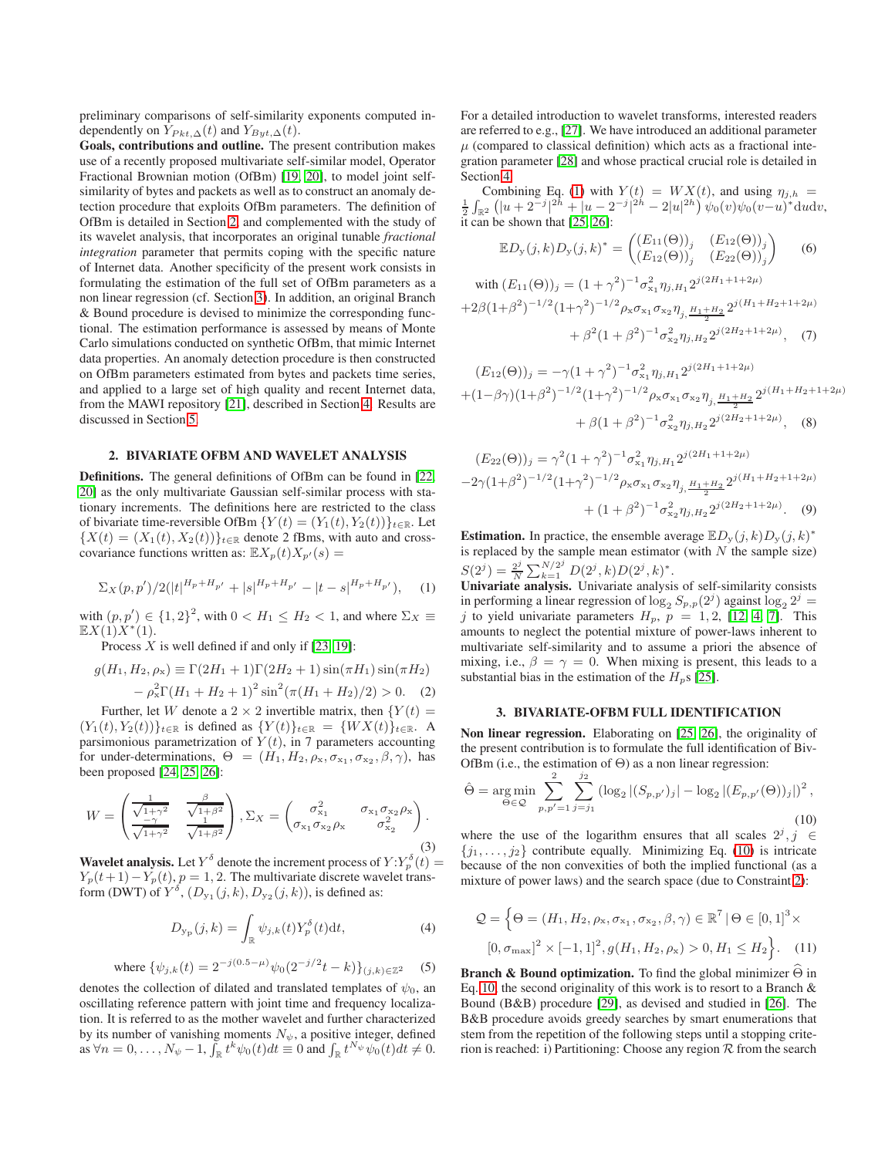preliminary comparisons of self-similarity exponents computed independently on  $Y_{Pkt, \Delta}(t)$  and  $Y_{Byt, \Delta}(t)$ .

Goals, contributions and outline. The present contribution makes use of a recently proposed multivariate self-similar model, Operator Fractional Brownian motion (OfBm) [\[19,](#page-4-18) [20\]](#page-4-19), to model joint selfsimilarity of bytes and packets as well as to construct an anomaly detection procedure that exploits OfBm parameters. The definition of OfBm is detailed in Section [2,](#page-1-0) and complemented with the study of its wavelet analysis, that incorporates an original tunable *fractional integration* parameter that permits coping with the specific nature of Internet data. Another specificity of the present work consists in formulating the estimation of the full set of OfBm parameters as a non linear regression (cf. Section [3\)](#page-1-1). In addition, an original Branch & Bound procedure is devised to minimize the corresponding functional. The estimation performance is assessed by means of Monte Carlo simulations conducted on synthetic OfBm, that mimic Internet data properties. An anomaly detection procedure is then constructed on OfBm parameters estimated from bytes and packets time series, and applied to a large set of high quality and recent Internet data, from the MAWI repository [\[21\]](#page-4-20), described in Section [4.](#page-2-0) Results are discussed in Section [5.](#page-2-1)

# <span id="page-1-0"></span>2. BIVARIATE OFBM AND WAVELET ANALYSIS

Definitions. The general definitions of OfBm can be found in [\[22,](#page-4-21) [20\]](#page-4-19) as the only multivariate Gaussian self-similar process with stationary increments. The definitions here are restricted to the class of bivariate time-reversible OfBm  $\{Y(t) = (Y_1(t), Y_2(t))\}_{t \in \mathbb{R}}$ . Let  ${X(t) = (X_1(t), X_2(t))}_{t \in \mathbb{R}}$  denote 2 fBms, with auto and crosscovariance functions written as:  $\mathbb{E} X_p(t)X_{p'}(s) =$ 

<span id="page-1-2"></span>
$$
\Sigma_X(p, p')/2(|t|^{H_p + H_{p'}} + |s|^{H_p + H_{p'}} - |t - s|^{H_p + H_{p'}}), \quad (1)
$$

with  $(p, p') \in \{1, 2\}^2$ , with  $0 < H_1 \leq H_2 < 1$ , and where  $\Sigma_X \equiv$  $\mathbb{E} X(1) X^*(1)$ .

Process  $X$  is well defined if and only if [\[23,](#page-4-22) [19\]](#page-4-18):

$$
g(H_1, H_2, \rho_x) \equiv \Gamma(2H_1 + 1)\Gamma(2H_2 + 1)\sin(\pi H_1)\sin(\pi H_2) - \rho_x^2 \Gamma(H_1 + H_2 + 1)^2 \sin^2(\pi(H_1 + H_2)/2) > 0.
$$
 (2)

Further, let W denote a 2  $\times$  2 invertible matrix, then  ${Y(t) =$  $(Y_1(t), Y_2(t))\}_{t\in \mathbb{R}}$  is defined as  $\{Y(t)\}_{t\in \mathbb{R}} = \{WX(t)\}_{t\in \mathbb{R}}$ . A parsimonious parametrization of  $Y(t)$ , in 7 parameters accounting for under-determinations,  $\Theta = (H_1, H_2, \rho_x, \sigma_{x_1}, \sigma_{x_2}, \beta, \gamma)$ , has been proposed [\[24,](#page-4-23) [25,](#page-4-24) [26\]](#page-4-25):

$$
W = \begin{pmatrix} \frac{1}{\sqrt{1+\gamma^2}} & \frac{\beta}{\sqrt{1+\beta^2}} \\ \frac{-\gamma}{\sqrt{1+\gamma^2}} & \frac{1}{\sqrt{1+\beta^2}} \end{pmatrix}, \Sigma_X = \begin{pmatrix} \sigma_{x_1}^2 & \sigma_{x_1} \sigma_{x_2} \rho_x \\ \sigma_{x_1} \sigma_{x_2} \rho_x & \sigma_{x_2}^2 \end{pmatrix} . \tag{3}
$$

**Wavelet analysis.** Let  $Y^{\delta}$  denote the increment process of  $Y: Y_p^{\delta}(t) =$  $Y_p(t+1) - Y_p(t)$ ,  $p = 1, 2$ . The multivariate discrete wavelet transform (DWT) of  $Y^{\delta}$ ,  $(D_{y_1}(j,k), D_{y_2}(j,k))$ , is defined as:

$$
D_{\mathbf{y}_{\mathrm{p}}}(j,k) = \int_{\mathbb{R}} \psi_{j,k}(t) Y_p^{\delta}(t) \mathrm{d}t,\tag{4}
$$

<span id="page-1-5"></span>where 
$$
\{\psi_{j,k}(t) = 2^{-j(0.5-\mu)}\psi_0(2^{-j/2}t - k)\}_{(j,k)\in\mathbb{Z}^2}
$$
 (5)

denotes the collection of dilated and translated templates of  $\psi_0$ , an oscillating reference pattern with joint time and frequency localization. It is referred to as the mother wavelet and further characterized by its number of vanishing moments  $N_{\psi}$ , a positive integer, defined as  $\forall n = 0, \ldots, N_{\psi} - 1$ ,  $\tilde{\int}_{\mathbb{R}} t^k \psi_0(t) dt \equiv 0$  and  $\int_{\mathbb{R}} t^{N_{\psi}} \psi_0(t) dt \neq 0$ .

For a detailed introduction to wavelet transforms, interested readers are referred to e.g., [\[27\]](#page-4-26). We have introduced an additional parameter  $\mu$  (compared to classical definition) which acts as a fractional integration parameter [\[28\]](#page-4-27) and whose practical crucial role is detailed in Section [4.](#page-2-0)

Combining Eq. [\(1\)](#page-1-2) with  $Y(t) = W X(t)$ , and using  $\eta_{j,h} = \frac{1}{2} \int_{\mathbb{R}^2} (|u + 2^{-j}|^{2h} + |u - 2^{-j}|^{2h} - 2|u|^{2h}) \psi_0(v)\psi_0(v-u)^* du dv$ , it can be shown that [\[25,](#page-4-24) [26\]](#page-4-25):

<span id="page-1-6"></span>
$$
\mathbb{E}D_{\mathbf{y}}(j,k)D_{\mathbf{y}}(j,k)^{*} = \begin{pmatrix} (E_{11}(\Theta))_{j} & (E_{12}(\Theta))_{j} \\ (E_{12}(\Theta))_{j} & (E_{22}(\Theta))_{j} \end{pmatrix} \tag{6}
$$

with 
$$
(E_{11}(\Theta))_j = (1 + \gamma^2)^{-1} \sigma_{x_1}^2 \eta_{j,H_1} 2^{j(2H_1 + 1 + 2\mu)}
$$
  
+2 $\beta (1 + \beta^2)^{-1/2} (1 + \gamma^2)^{-1/2} \rho_x \sigma_{x_1} \sigma_{x_2} \eta_{j,H_1} \frac{H_1 + H_2}{2} 2^{j(H_1 + H_2 + 1 + 2\mu)}$   
+  $\beta^2 (1 + \beta^2)^{-1} \sigma_{x_2}^2 \eta_{j,H_2} 2^{j(2H_2 + 1 + 2\mu)},$  (7)

$$
(E_{12}(\Theta))_j = -\gamma (1 + \gamma^2)^{-1} \sigma_{x_1}^2 \eta_{j,H_1} 2^{j(2H_1 + 1 + 2\mu)}
$$
  
 
$$
+ (1 - \beta \gamma)(1 + \beta^2)^{-1/2} (1 + \gamma^2)^{-1/2} \rho_x \sigma_{x_1} \sigma_{x_2} \eta_{j,H_1} \frac{H_1 + H_2}{2} 2^{j(H_1 + H_2 + 1 + 2\mu)}
$$
  
 
$$
+ \beta (1 + \beta^2)^{-1} \sigma_{x_2}^2 \eta_{j,H_2} 2^{j(2H_2 + 1 + 2\mu)}, \quad (8)
$$

<span id="page-1-7"></span>
$$
(E_{22}(\Theta))_j = \gamma^2 (1 + \gamma^2)^{-1} \sigma_{x_1}^2 \eta_{j,H_1} 2^{j(2H_1 + 1 + 2\mu)}
$$
  
-2\gamma (1 + \beta^2)^{-1/2} (1 + \gamma^2)^{-1/2} \rho\_x \sigma\_{x\_1} \sigma\_{x\_2} \eta\_{j,H\_1 + H\_2} 2^{j(H\_1 + H\_2 + 1 + 2\mu)}  
+ (1 + \beta^2)^{-1} \sigma\_{x\_2}^2 \eta\_{j,H\_2} 2^{j(2H\_2 + 1 + 2\mu)}. (9)

**Estimation.** In practice, the ensemble average  $ED_y(j, k)D_y(j, k)^*$ is replaced by the sample mean estimator (with  $N$  the sample size)  $S(2^{j}) = \frac{2^{j}}{N}$  $\frac{2^j}{N}\sum_{k=1}^{N/2^j}D(2^j,k)D(2^j,k)^*.$ 

Univariate analysis. Univariate analysis of self-similarity consists in performing a linear regression of  $\log_2 S_{p,p}(2^j)$  against  $\log_2 2^j =$ j to yield univariate parameters  $H_p$ ,  $p = 1, 2, [12, 4, 7]$  $p = 1, 2, [12, 4, 7]$  $p = 1, 2, [12, 4, 7]$  $p = 1, 2, [12, 4, 7]$ . This amounts to neglect the potential mixture of power-laws inherent to multivariate self-similarity and to assume a priori the absence of mixing, i.e.,  $\beta = \gamma = 0$ . When mixing is present, this leads to a substantial bias in the estimation of the  $H_p$ s [\[25\]](#page-4-24).

#### 3. BIVARIATE-OFBM FULL IDENTIFICATION

<span id="page-1-4"></span><span id="page-1-1"></span>Non linear regression. Elaborating on [\[25,](#page-4-24) [26\]](#page-4-25), the originality of the present contribution is to formulate the full identification of Biv-OfBm (i.e., the estimation of  $\Theta$ ) as a non linear regression:

<span id="page-1-3"></span>
$$
\hat{\Theta} = \underset{\Theta \in \mathcal{Q}}{\arg \min} \sum_{p, p'=1}^{2} \sum_{j=j_1}^{j_2} \left( \log_2 |(S_{p, p'})_j| - \log_2 |(E_{p, p'}(\Theta))_j| \right)^2, \tag{10}
$$

where the use of the logarithm ensures that all scales  $2^j$ ,  $j \in$  $\{j_1, \ldots, j_2\}$  contribute equally. Minimizing Eq. [\(10\)](#page-1-3) is intricate because of the non convexities of both the implied functional (as a mixture of power laws) and the search space (due to Constraint [2\)](#page-1-4):

$$
Q = \left\{ \Theta = (H_1, H_2, \rho_x, \sigma_{x_1}, \sigma_{x_2}, \beta, \gamma) \in \mathbb{R}^7 \, | \, \Theta \in [0, 1]^3 \times \right.
$$
  

$$
[0, \sigma_{\text{max}}]^2 \times [-1, 1]^2, g(H_1, H_2, \rho_x) > 0, H_1 \le H_2 \right\}.
$$
 (11)

Branch & Bound optimization. To find the global minimizer  $\widehat{\Theta}$  in Eq. [10,](#page-1-3) the second originality of this work is to resort to a Branch & Bound (B&B) procedure [\[29\]](#page-4-28), as devised and studied in [\[26\]](#page-4-25). The B&B procedure avoids greedy searches by smart enumerations that stem from the repetition of the following steps until a stopping criterion is reached: i) Partitioning: Choose any region  $R$  from the search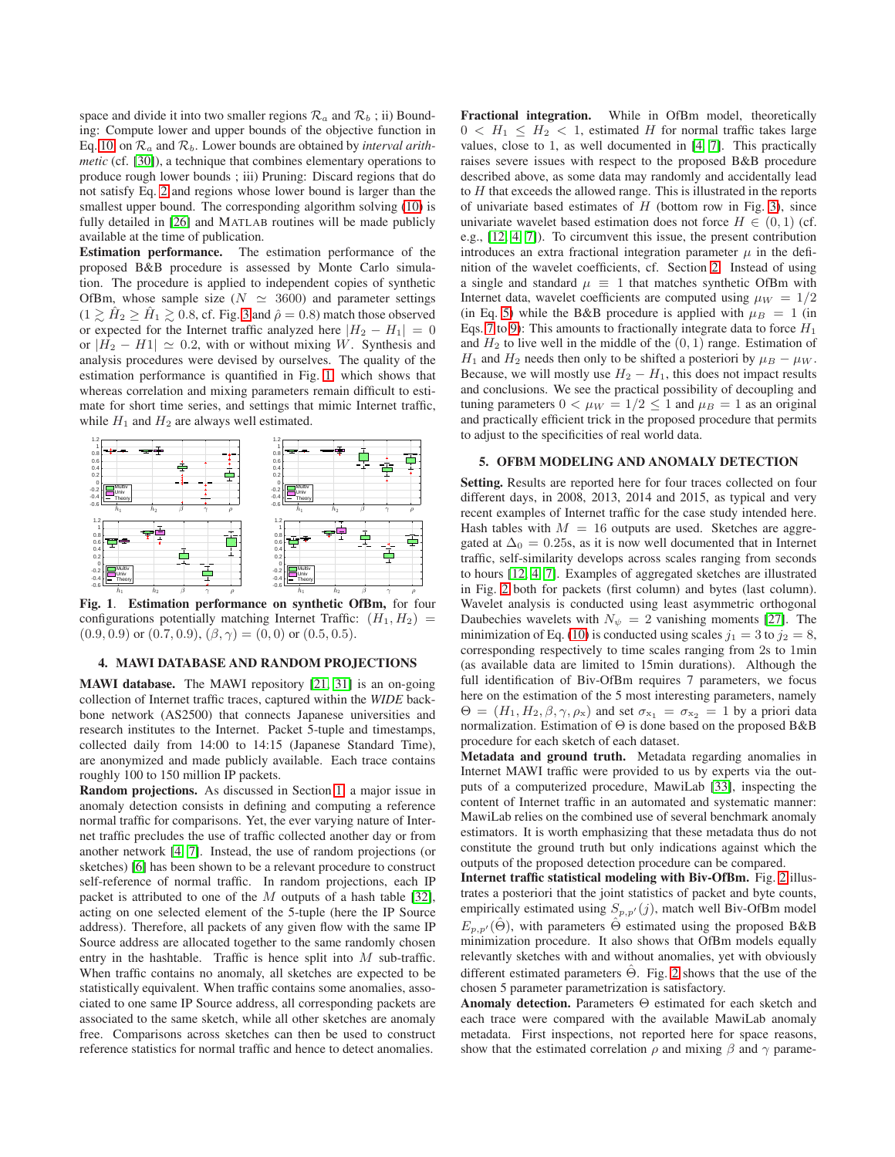space and divide it into two smaller regions  $\mathcal{R}_a$  and  $\mathcal{R}_b$ ; ii) Bounding: Compute lower and upper bounds of the objective function in Eq. [10,](#page-1-3) on  $\mathcal{R}_a$  and  $\mathcal{R}_b$ . Lower bounds are obtained by *interval arithmetic* (cf. [\[30\]](#page-4-29)), a technique that combines elementary operations to produce rough lower bounds ; iii) Pruning: Discard regions that do not satisfy Eq. [2](#page-1-4) and regions whose lower bound is larger than the smallest upper bound. The corresponding algorithm solving [\(10\)](#page-1-3) is fully detailed in [\[26\]](#page-4-25) and MATLAB routines will be made publicly available at the time of publication.

Estimation performance. The estimation performance of the proposed B&B procedure is assessed by Monte Carlo simulation. The procedure is applied to independent copies of synthetic OfBm, whose sample size ( $N \simeq 3600$ ) and parameter settings  $(1 \geq \hat{H}_2 \geq \hat{H}_1 \geq 0.8$ , cf. Fig. [3](#page-3-0) and  $\hat{\rho} = 0.8$ ) match those observed or expected for the Internet traffic analyzed here  $|H_2 - H_1| = 0$ or  $|H_2 - H_1| \simeq 0.2$ , with or without mixing W. Synthesis and analysis procedures were devised by ourselves. The quality of the estimation performance is quantified in Fig. [1,](#page-2-2) which shows that whereas correlation and mixing parameters remain difficult to estimate for short time series, and settings that mimic Internet traffic, while  $H_1$  and  $H_2$  are always well estimated.



<span id="page-2-2"></span>Fig. 1. Estimation performance on synthetic OfBm, for four configurations potentially matching Internet Traffic:  $(H_1, H_2)$  =  $(0.9, 0.9)$  or  $(0.7, 0.9)$ ,  $(\beta, \gamma) = (0, 0)$  or  $(0.5, 0.5)$ .

# <span id="page-2-0"></span>4. MAWI DATABASE AND RANDOM PROJECTIONS

MAWI database. The MAWI repository [\[21,](#page-4-20) [31\]](#page-4-30) is an on-going collection of Internet traffic traces, captured within the *WIDE* backbone network (AS2500) that connects Japanese universities and research institutes to the Internet. Packet 5-tuple and timestamps, collected daily from 14:00 to 14:15 (Japanese Standard Time), are anonymized and made publicly available. Each trace contains roughly 100 to 150 million IP packets.

Random projections. As discussed in Section [1,](#page-0-1) a major issue in anomaly detection consists in defining and computing a reference normal traffic for comparisons. Yet, the ever varying nature of Internet traffic precludes the use of traffic collected another day or from another network [\[4,](#page-4-3) [7\]](#page-4-6). Instead, the use of random projections (or sketches) [\[6\]](#page-4-5) has been shown to be a relevant procedure to construct self-reference of normal traffic. In random projections, each IP packet is attributed to one of the  $M$  outputs of a hash table [\[32\]](#page-4-31), acting on one selected element of the 5-tuple (here the IP Source address). Therefore, all packets of any given flow with the same IP Source address are allocated together to the same randomly chosen entry in the hashtable. Traffic is hence split into M sub-traffic. When traffic contains no anomaly, all sketches are expected to be statistically equivalent. When traffic contains some anomalies, associated to one same IP Source address, all corresponding packets are associated to the same sketch, while all other sketches are anomaly free. Comparisons across sketches can then be used to construct reference statistics for normal traffic and hence to detect anomalies.

Fractional integration. While in OfBm model, theoretically  $0 < H_1 < H_2 < 1$ , estimated H for normal traffic takes large values, close to 1, as well documented in [\[4,](#page-4-3) [7\]](#page-4-6). This practically raises severe issues with respect to the proposed B&B procedure described above, as some data may randomly and accidentally lead to  $H$  that exceeds the allowed range. This is illustrated in the reports of univariate based estimates of  $H$  (bottom row in Fig. [3\)](#page-3-0), since univariate wavelet based estimation does not force  $H \in (0, 1)$  (cf. e.g., [\[12,](#page-4-11) [4,](#page-4-3) [7\]](#page-4-6)). To circumvent this issue, the present contribution introduces an extra fractional integration parameter  $\mu$  in the definition of the wavelet coefficients, cf. Section [2.](#page-1-0) Instead of using a single and standard  $\mu \equiv 1$  that matches synthetic OfBm with Internet data, wavelet coefficients are computed using  $\mu_W = 1/2$ (in Eq. [5\)](#page-1-5) while the B&B procedure is applied with  $\mu_B = 1$  (in Eqs. [7](#page-1-6) to [9\)](#page-1-7): This amounts to fractionally integrate data to force  $H_1$ and  $H_2$  to live well in the middle of the  $(0, 1)$  range. Estimation of  $H_1$  and  $H_2$  needs then only to be shifted a posteriori by  $\mu_B - \mu_W$ . Because, we will mostly use  $H_2 - H_1$ , this does not impact results and conclusions. We see the practical possibility of decoupling and tuning parameters  $0 < \mu_W = 1/2 < 1$  and  $\mu_B = 1$  as an original and practically efficient trick in the proposed procedure that permits to adjust to the specificities of real world data.

#### <span id="page-2-1"></span>5. OFBM MODELING AND ANOMALY DETECTION

Setting. Results are reported here for four traces collected on four different days, in 2008, 2013, 2014 and 2015, as typical and very recent examples of Internet traffic for the case study intended here. Hash tables with  $M = 16$  outputs are used. Sketches are aggregated at  $\Delta_0 = 0.25$ s, as it is now well documented that in Internet traffic, self-similarity develops across scales ranging from seconds to hours [\[12,](#page-4-11) [4,](#page-4-3) [7\]](#page-4-6). Examples of aggregated sketches are illustrated in Fig. [2](#page-3-1) both for packets (first column) and bytes (last column). Wavelet analysis is conducted using least asymmetric orthogonal Daubechies wavelets with  $N_{\psi} = 2$  vanishing moments [\[27\]](#page-4-26). The minimization of Eq. [\(10\)](#page-1-3) is conducted using scales  $j_1 = 3$  to  $j_2 = 8$ , corresponding respectively to time scales ranging from 2s to 1min (as available data are limited to 15min durations). Although the full identification of Biv-OfBm requires 7 parameters, we focus here on the estimation of the 5 most interesting parameters, namely  $\Theta = (H_1, H_2, \beta, \gamma, \rho_x)$  and set  $\sigma_{x_1} = \sigma_{x_2} = 1$  by a priori data normalization. Estimation of Θ is done based on the proposed B&B procedure for each sketch of each dataset.

Metadata and ground truth. Metadata regarding anomalies in Internet MAWI traffic were provided to us by experts via the outputs of a computerized procedure, MawiLab [\[33\]](#page-4-32), inspecting the content of Internet traffic in an automated and systematic manner: MawiLab relies on the combined use of several benchmark anomaly estimators. It is worth emphasizing that these metadata thus do not constitute the ground truth but only indications against which the outputs of the proposed detection procedure can be compared.

Internet traffic statistical modeling with Biv-OfBm. Fig. [2](#page-3-1) illustrates a posteriori that the joint statistics of packet and byte counts, empirically estimated using  $S_{p,p'}(j)$ , match well Biv-OfBm model  $E_{p,p'}(\hat{\Theta})$ , with parameters  $\hat{\Theta}$  estimated using the proposed B&B minimization procedure. It also shows that OfBm models equally relevantly sketches with and without anomalies, yet with obviously different estimated parameters  $\hat{\Theta}$ . Fig. [2](#page-3-1) shows that the use of the chosen 5 parameter parametrization is satisfactory.

Anomaly detection. Parameters Θ estimated for each sketch and each trace were compared with the available MawiLab anomaly metadata. First inspections, not reported here for space reasons, show that the estimated correlation  $\rho$  and mixing  $\beta$  and  $\gamma$  parame-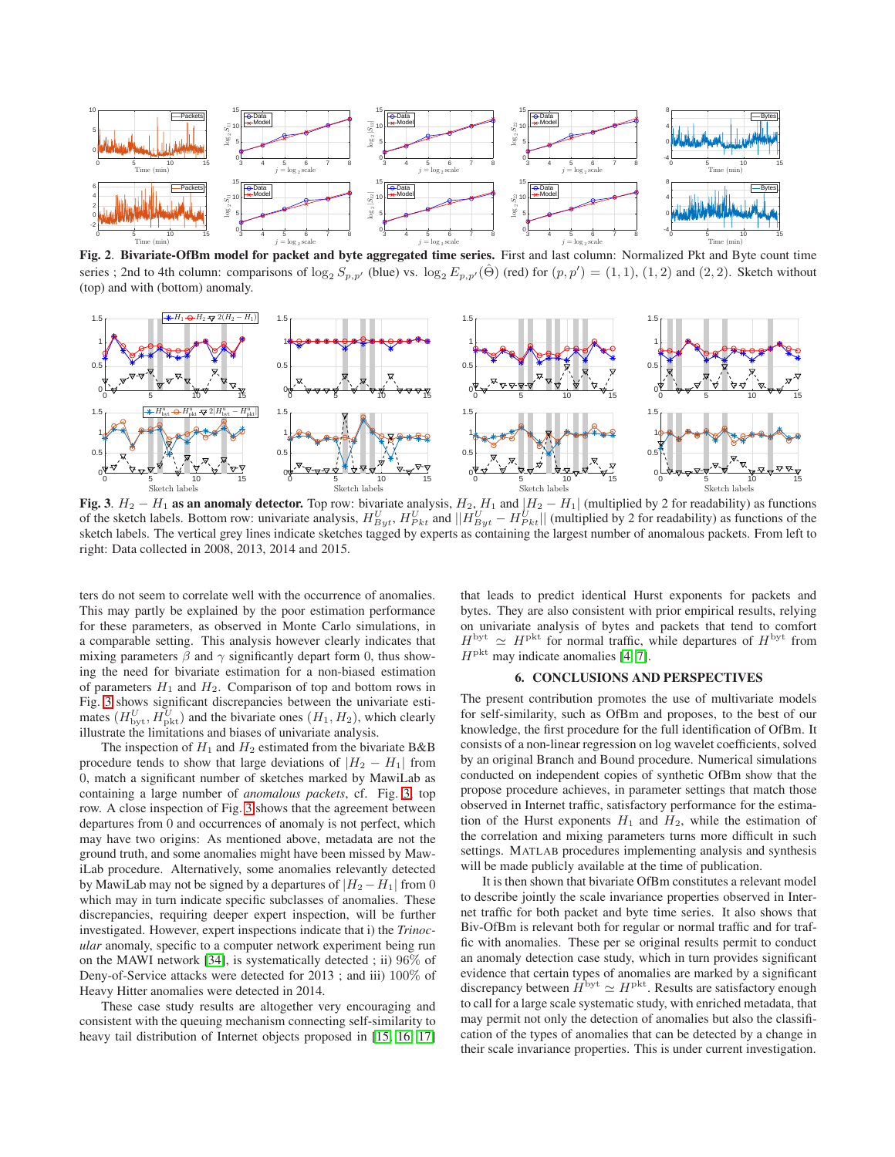

<span id="page-3-1"></span>Fig. 2. Bivariate-OfBm model for packet and byte aggregated time series. First and last column: Normalized Pkt and Byte count time series ; 2nd to 4th column: comparisons of  $\log_2 S_{p,p'}$  (blue) vs.  $\log_2 E_{p,p'}(\hat{\Theta})$  (red) for  $(p,p') = (1,1), (1,2)$  and  $(2,2)$ . Sketch without (top) and with (bottom) anomaly.



<span id="page-3-0"></span>Fig. 3.  $H_2 - H_1$  as an anomaly detector. Top row: bivariate analysis,  $H_2$ ,  $H_1$  and  $|H_2 - H_1|$  (multiplied by 2 for readability) as functions of the sketch labels. Bottom row: univariate analysis,  $H_{Byt}^U$ ,  $H_{Pkt}^U$ sketch labels. The vertical grey lines indicate sketches tagged by experts as containing the largest number of anomalous packets. From left to right: Data collected in 2008, 2013, 2014 and 2015.

ters do not seem to correlate well with the occurrence of anomalies. This may partly be explained by the poor estimation performance for these parameters, as observed in Monte Carlo simulations, in a comparable setting. This analysis however clearly indicates that mixing parameters  $\beta$  and  $\gamma$  significantly depart form 0, thus showing the need for bivariate estimation for a non-biased estimation of parameters  $H_1$  and  $H_2$ . Comparison of top and bottom rows in Fig. [3](#page-3-0) shows significant discrepancies between the univariate estimates  $(H_{\text{byt}}^U, H_{\text{pkt}}^U)$  and the bivariate ones  $(H_1, H_2)$ , which clearly illustrate the limitations and biases of univariate analysis.

The inspection of  $H_1$  and  $H_2$  estimated from the bivariate B&B procedure tends to show that large deviations of  $|H_2 - H_1|$  from 0, match a significant number of sketches marked by MawiLab as containing a large number of *anomalous packets*, cf. Fig. [3,](#page-3-0) top row. A close inspection of Fig. [3](#page-3-0) shows that the agreement between departures from 0 and occurrences of anomaly is not perfect, which may have two origins: As mentioned above, metadata are not the ground truth, and some anomalies might have been missed by MawiLab procedure. Alternatively, some anomalies relevantly detected by MawiLab may not be signed by a departures of  $|H_2 - H_1|$  from 0 which may in turn indicate specific subclasses of anomalies. These discrepancies, requiring deeper expert inspection, will be further investigated. However, expert inspections indicate that i) the *Trinocular* anomaly, specific to a computer network experiment being run on the MAWI network [\[34\]](#page-4-33), is systematically detected ; ii) 96% of Deny-of-Service attacks were detected for 2013 ; and iii) 100% of Heavy Hitter anomalies were detected in 2014.

These case study results are altogether very encouraging and consistent with the queuing mechanism connecting self-similarity to heavy tail distribution of Internet objects proposed in [\[15,](#page-4-14) [16,](#page-4-15) [17\]](#page-4-16) that leads to predict identical Hurst exponents for packets and bytes. They are also consistent with prior empirical results, relying on univariate analysis of bytes and packets that tend to comfort  $H^{\text{byt}} \simeq H^{\text{pkt}}$  for normal traffic, while departures of  $H^{\text{byt}}$  from  $H<sup>plt</sup>$  may indicate anomalies [\[4,](#page-4-3) [7\]](#page-4-6).

# 6. CONCLUSIONS AND PERSPECTIVES

The present contribution promotes the use of multivariate models for self-similarity, such as OfBm and proposes, to the best of our knowledge, the first procedure for the full identification of OfBm. It consists of a non-linear regression on log wavelet coefficients, solved by an original Branch and Bound procedure. Numerical simulations conducted on independent copies of synthetic OfBm show that the propose procedure achieves, in parameter settings that match those observed in Internet traffic, satisfactory performance for the estimation of the Hurst exponents  $H_1$  and  $H_2$ , while the estimation of the correlation and mixing parameters turns more difficult in such settings. MATLAB procedures implementing analysis and synthesis will be made publicly available at the time of publication.

It is then shown that bivariate OfBm constitutes a relevant model to describe jointly the scale invariance properties observed in Internet traffic for both packet and byte time series. It also shows that Biv-OfBm is relevant both for regular or normal traffic and for traffic with anomalies. These per se original results permit to conduct an anomaly detection case study, which in turn provides significant evidence that certain types of anomalies are marked by a significant discrepancy between  $H^{\text{byt}} \simeq H^{\text{pkt}}$ . Results are satisfactory enough to call for a large scale systematic study, with enriched metadata, that may permit not only the detection of anomalies but also the classification of the types of anomalies that can be detected by a change in their scale invariance properties. This is under current investigation.